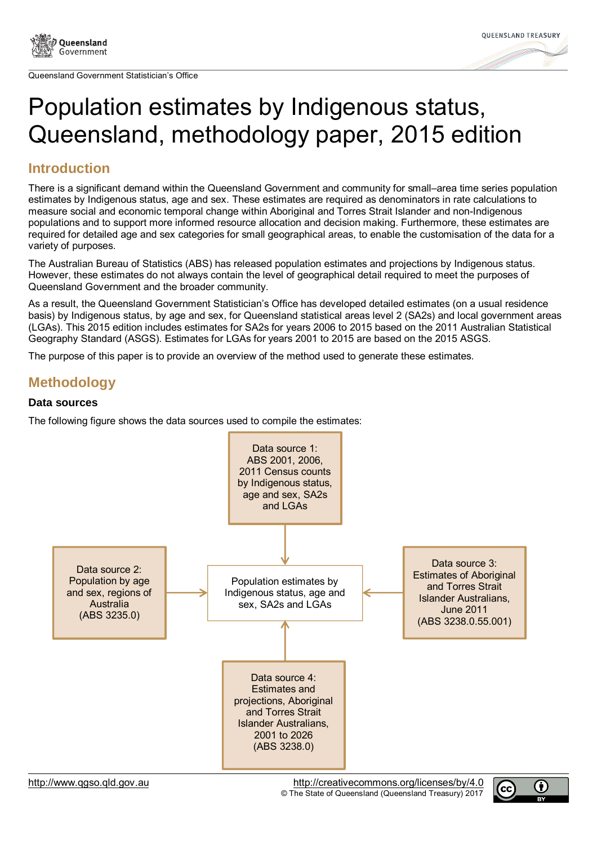

Queensland Government Statistician's Office



# Population estimates by Indigenous status, Queensland, methodology paper, 2015 edition

## **Introduction**

There is a significant demand within the Queensland Government and community for small–area time series population estimates by Indigenous status, age and sex. These estimates are required as denominators in rate calculations to measure social and economic temporal change within Aboriginal and Torres Strait Islander and non-Indigenous populations and to support more informed resource allocation and decision making. Furthermore, these estimates are required for detailed age and sex categories for small geographical areas, to enable the customisation of the data for a variety of purposes.

The Australian Bureau of Statistics (ABS) has released population estimates and projections by Indigenous status. However, these estimates do not always contain the level of geographical detail required to meet the purposes of Queensland Government and the broader community.

As a result, the Queensland Government Statistician's Office has developed detailed estimates (on a usual residence basis) by Indigenous status, by age and sex, for Queensland statistical areas level 2 (SA2s) and local government areas (LGAs). This 2015 edition includes estimates for SA2s for years 2006 to 2015 based on the 2011 Australian Statistical Geography Standard (ASGS). Estimates for LGAs for years 2001 to 2015 are based on the 2015 ASGS.

The purpose of this paper is to provide an overview of the method used to generate these estimates.

# **Methodology**

#### **Data sources**

The following figure shows the data sources used to compile the estimates:



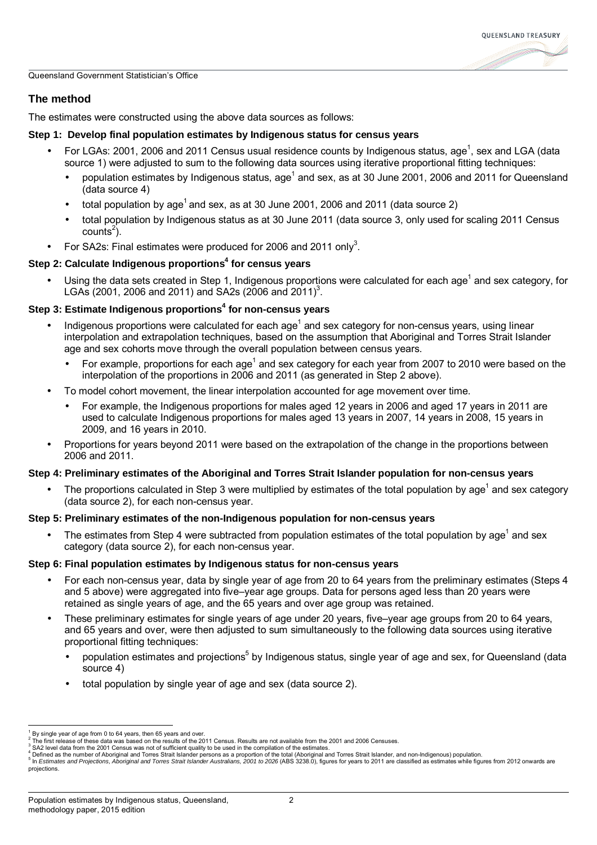

Queensland Government Statistician's Office

#### **The method**

The estimates were constructed using the above data sources as follows:

#### **Step 1: Develop final population estimates by Indigenous status for census years**

- For LGAs: 2001, 2006 and 2011 Census usual residence counts by Indigenous status, age<sup>1</sup>, sex and LGA (data source 1) were adjusted to sum to the following data sources using iterative proportional fitting techniques:
	- population estimates by Indigenous status, age<sup>1</sup> and sex, as at 30 June 2001, 2006 and 2011 for Queensland (data source 4)
	- total population by age<sup>1</sup> and sex, as at 30 June 2001, 2006 and 2011 (data source 2)
	- total population by Indigenous status as at 30 June 2011 (data source 3, only used for scaling 2011 Census  $counts<sup>2</sup>)$ .
- For SA2s: Final estimates were produced for 2006 and 2011 only<sup>3</sup>.

#### **Step 2: Calculate Indigenous proportions<sup>4</sup> for census years**

 $\bullet$  Using the data sets created in Step 1, Indigenous proportions were calculated for each age<sup>1</sup> and sex category, for LGAs (2001, 2006 and 2011) and SA2s (2006 and 2011)<sup>3</sup>.

#### **Step 3: Estimate Indigenous proportions<sup>4</sup> for non-census years**

- $\bullet$  Indigenous proportions were calculated for each age<sup>1</sup> and sex category for non-census years, using linear interpolation and extrapolation techniques, based on the assumption that Aboriginal and Torres Strait Islander age and sex cohorts move through the overall population between census years.
	- For example, proportions for each age<sup>1</sup> and sex category for each year from 2007 to 2010 were based on the interpolation of the proportions in 2006 and 2011 (as generated in Step 2 above).
- To model cohort movement, the linear interpolation accounted for age movement over time.
	- For example, the Indigenous proportions for males aged 12 years in 2006 and aged 17 years in 2011 are used to calculate Indigenous proportions for males aged 13 years in 2007, 14 years in 2008, 15 years in 2009, and 16 years in 2010.
- Proportions for years beyond 2011 were based on the extrapolation of the change in the proportions between 2006 and 2011.

#### **Step 4: Preliminary estimates of the Aboriginal and Torres Strait Islander population for non-census years**

• The proportions calculated in Step 3 were multiplied by estimates of the total population by age<sup>1</sup> and sex category (data source 2), for each non-census year.

#### **Step 5: Preliminary estimates of the non-Indigenous population for non-census years**

• The estimates from Step 4 were subtracted from population estimates of the total population by age<sup>1</sup> and sex category (data source 2), for each non-census year.

#### **Step 6: Final population estimates by Indigenous status for non-census years**

- For each non-census year, data by single year of age from 20 to 64 years from the preliminary estimates (Steps 4 and 5 above) were aggregated into five–year age groups. Data for persons aged less than 20 years were retained as single years of age, and the 65 years and over age group was retained.
- These preliminary estimates for single years of age under 20 years, five–year age groups from 20 to 64 years, and 65 years and over, were then adjusted to sum simultaneously to the following data sources using iterative proportional fitting techniques:
	- population estimates and projections<sup>5</sup> by Indigenous status, single year of age and sex, for Queensland (data source 4)
	- total population by single year of age and sex (data source 2).

<sup>&</sup>lt;sup>1</sup> By single year of age from 0 to 64 years, then 65 years and over.<br><sup>2</sup> The first release of these data was based on the results of the 2011 Census. Results are not available from the 2001 and 2006 Censuses.

 $^3$  SA2 level data from the 2001 Census was not of sufficient quality to be used in the compilation of the estimates.<br>4 Defined as the number of Aboriginal and Torres Strait Islander persons as a proportion of the total In Estimates and Projections, Aboriginal and Torres Strait Islander Australians, 2001 to 2026 (ABS 3238.0), figures for years to 2011 are classified as estimates while figures from 2012 onwards are projections.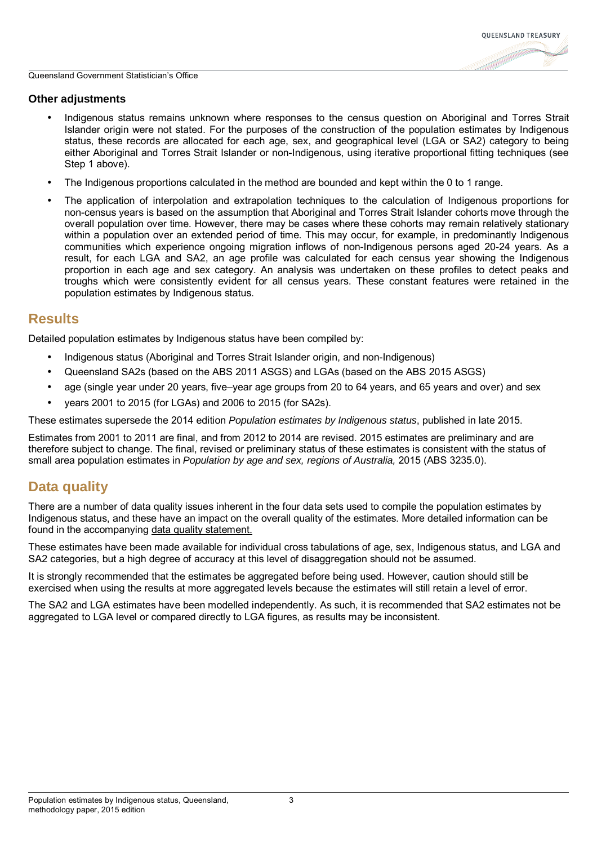#### **Other adjustments**

- Indigenous status remains unknown where responses to the census question on Aboriginal and Torres Strait Islander origin were not stated. For the purposes of the construction of the population estimates by Indigenous status, these records are allocated for each age, sex, and geographical level (LGA or SA2) category to being either Aboriginal and Torres Strait Islander or non-Indigenous, using iterative proportional fitting techniques (see Step 1 above).
- The Indigenous proportions calculated in the method are bounded and kept within the 0 to 1 range.
- The application of interpolation and extrapolation techniques to the calculation of Indigenous proportions for non-census years is based on the assumption that Aboriginal and Torres Strait Islander cohorts move through the overall population over time. However, there may be cases where these cohorts may remain relatively stationary within a population over an extended period of time. This may occur, for example, in predominantly Indigenous communities which experience ongoing migration inflows of non-Indigenous persons aged 20-24 years. As a result, for each LGA and SA2, an age profile was calculated for each census year showing the Indigenous proportion in each age and sex category. An analysis was undertaken on these profiles to detect peaks and troughs which were consistently evident for all census years. These constant features were retained in the population estimates by Indigenous status.

#### **Results**

Detailed population estimates by Indigenous status have been compiled by:

- Indigenous status (Aboriginal and Torres Strait Islander origin, and non-Indigenous)
- Queensland SA2s (based on the ABS 2011 ASGS) and LGAs (based on the ABS 2015 ASGS)
- age (single year under 20 years, five–year age groups from 20 to 64 years, and 65 years and over) and sex
- years 2001 to 2015 (for LGAs) and 2006 to 2015 (for SA2s).

These estimates supersede the 2014 edition Population estimates by Indigenous status, published in late 2015.

Estimates from 2001 to 2011 are final, and from 2012 to 2014 are revised. 2015 estimates are preliminary and are therefore subject to change. The final, revised or preliminary status of these estimates is consistent with the status of small area population estimates in Population by age and sex, regions of Australia, 2015 (ABS 3235.0).

### **Data quality**

There are a number of data quality issues inherent in the four data sets used to compile the population estimates by Indigenous status, and these have an impact on the overall quality of the estimates. More detailed information can be found in the accompanying [data quality statement.](http://www.qgso.qld.gov.au/products/tables/pop-est-indigenous-status/pop-est-indigenous-status-data-quality-2015-edn.pdf) 

These estimates have been made available for individual cross tabulations of age, sex, Indigenous status, and LGA and SA2 categories, but a high degree of accuracy at this level of disaggregation should not be assumed.

It is strongly recommended that the estimates be aggregated before being used. However, caution should still be exercised when using the results at more aggregated levels because the estimates will still retain a level of error.

The SA2 and LGA estimates have been modelled independently. As such, it is recommended that SA2 estimates not be aggregated to LGA level or compared directly to LGA figures, as results may be inconsistent.